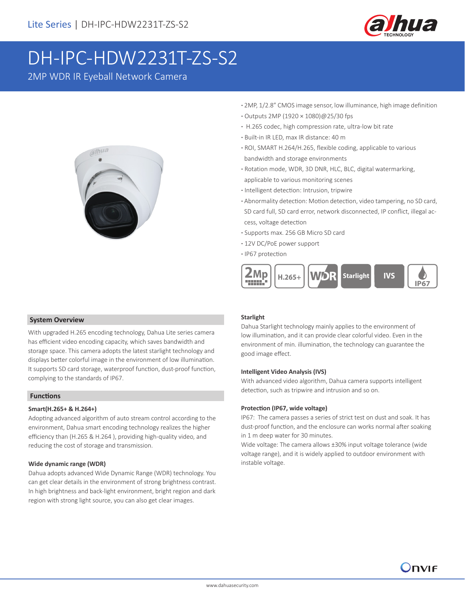

# DH-IPC-HDW2231T-ZS-S2

2MP WDR IR Eyeball Network Camera



- **·** 2MP, 1/2.8" CMOS image sensor, low illuminance, high image definition
- **·** Outputs 2MP (1920 × 1080)@25/30 fps
- **·** H.265 codec, high compression rate, ultra-low bit rate
- **·** Built-in IR LED, max IR distance: 40 m
- **·** ROI, SMART H.264/H.265, flexible coding, applicable to various bandwidth and storage environments
- **·** Rotation mode, WDR, 3D DNR, HLC, BLC, digital watermarking, applicable to various monitoring scenes
- **·** Intelligent detection: Intrusion, tripwire
- **·** Abnormality detection: Motion detection, video tampering, no SD card, SD card full, SD card error, network disconnected, IP conflict, illegal ac cess, voltage detection
- **·** Supports max. 256 GB Micro SD card
- **·** 12V DC/PoE power support
- **·** IP67 protection



### **System Overview**

With upgraded H.265 encoding technology, Dahua Lite series camera has efficient video encoding capacity, which saves bandwidth and storage space. This camera adopts the latest starlight technology and displays better colorful image in the environment of low illumination. It supports SD card storage, waterproof function, dust-proof function, complying to the standards of IP67.

# **Functions**

### **Smart(H.265+ & H.264+)**

Adopting advanced algorithm of auto stream control according to the environment, Dahua smart encoding technology realizes the higher efficiency than (H.265 & H.264 ), providing high-quality video, and reducing the cost of storage and transmission.

### **Wide dynamic range (WDR)**

Dahua adopts advanced Wide Dynamic Range (WDR) technology. You can get clear details in the environment of strong brightness contrast. In high brightness and back-light environment, bright region and dark region with strong light source, you can also get clear images.

### **Starlight**

Dahua Starlight technology mainly applies to the environment of low illumination, and it can provide clear colorful video. Even in the environment of min. illumination, the technology can guarantee the good image effect.

### **Intelligent Video Analysis (IVS)**

With advanced video algorithm, Dahua camera supports intelligent detection, such as tripwire and intrusion and so on.

### **Protection (IP67, wide voltage)**

IP67: The camera passes a series of strict test on dust and soak. It has dust-proof function, and the enclosure can works normal after soaking in 1 m deep water for 30 minutes.

Wide voltage: The camera allows ±30% input voltage tolerance (wide voltage range), and it is widely applied to outdoor environment with instable voltage.

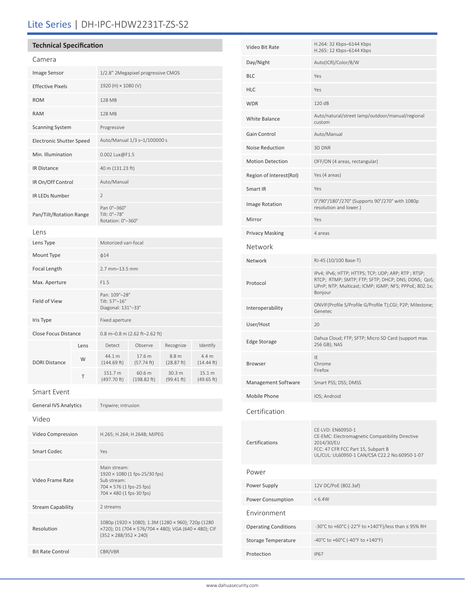# Lite Series | DH-IPC-HDW2231T-ZS-S2

# **Technical Specification**

Video Frame Rate

Resolution

Stream Capability 2 streams

Bit Rate Control CBR/VBR

| Camera                          |      |                                                      |                       |                      |                      |  |
|---------------------------------|------|------------------------------------------------------|-----------------------|----------------------|----------------------|--|
| Image Sensor                    |      | 1/2.8" 2Megapixel progressive CMOS                   |                       |                      |                      |  |
| <b>Effective Pixels</b>         |      | 1920 (H) × 1080 (V)                                  |                       |                      |                      |  |
| <b>ROM</b>                      |      | 128 MB                                               |                       |                      |                      |  |
| <b>RAM</b>                      |      | 128 MB                                               |                       |                      |                      |  |
| <b>Scanning System</b>          |      | Progressive                                          |                       |                      |                      |  |
| <b>Electronic Shutter Speed</b> |      | Auto/Manual 1/3 s-1/100000 s                         |                       |                      |                      |  |
| Min. Illumination               |      | 0.002 Lux@F1.5                                       |                       |                      |                      |  |
| <b>IR Distance</b>              |      | 40 m (131.23 ft)                                     |                       |                      |                      |  |
| IR On/Off Control               |      | Auto/Manual                                          |                       |                      |                      |  |
| <b>IR LEDs Number</b>           |      | $\overline{2}$                                       |                       |                      |                      |  |
| Pan/Tilt/Rotation Range         |      | Pan 0°-360°<br>Tilt: 0°-78°<br>Rotation: 0°-360°     |                       |                      |                      |  |
| Lens                            |      |                                                      |                       |                      |                      |  |
| Lens Type                       |      | Motorized vari-focal                                 |                       |                      |                      |  |
| Mount Type                      |      | $\phi$ 14                                            |                       |                      |                      |  |
| Focal Length                    |      | 2.7 mm-13.5 mm                                       |                       |                      |                      |  |
| Max. Aperture                   |      | F1.5                                                 |                       |                      |                      |  |
| Field of View                   |      | Pan: 109°-28°<br>Tilt: 57°-16°<br>Diagonal: 131°-33° |                       |                      |                      |  |
| Iris Type                       |      | Fixed aperture                                       |                       |                      |                      |  |
| Close Focus Distance            |      | 0.8 m-0.8 m (2.62 ft-2.62 ft)                        |                       |                      |                      |  |
|                                 | Lens | Detect                                               | Observe               | Recognize            | Identify             |  |
| <b>DORI Distance</b>            | W    | 44.1 m<br>(144.69 ft)                                | 17.6 m<br>(57.74 ft)  | 8.8 m<br>(28.87 ft)  | 4.4 m<br>(14.44 ft)  |  |
|                                 | Т    | 151.7 m<br>(497.70 ft)                               | 60.6 m<br>(198.82 ft) | 30.3 m<br>(99.41 ft) | 15.1 m<br>(49.65 ft) |  |
| Smart Event                     |      |                                                      |                       |                      |                      |  |
| <b>General IVS Analytics</b>    |      | Tripwire; intrusion                                  |                       |                      |                      |  |
| Video                           |      |                                                      |                       |                      |                      |  |
| Video Compression               |      | H.265; H.264; H.264B; MJPEG                          |                       |                      |                      |  |
| <b>Smart Codec</b>              |      | Yes                                                  |                       |                      |                      |  |
|                                 |      | Main stream:<br>1920 × 1080 (1 fps-25/30 fps)        |                       |                      |                      |  |

Sub stream: 704 × 576 (1 fps-25 fps) 704 × 480 (1 fps-30 fps)

(352 × 288/352 × 240)

1080p (1920 × 1080); 1.3M (1280 × 960); 720p (1280 ×720); D1 (704 × 576/704 × 480); VGA (640 × 480); CIF

| Video Bit Rate              | H.264: 32 Kbps-6144 Kbps<br>H.265: 12 Kbps-6144 Kbps                                                                                                                         |  |  |
|-----------------------------|------------------------------------------------------------------------------------------------------------------------------------------------------------------------------|--|--|
| Day/Night                   | Auto(ICR)/Color/B/W                                                                                                                                                          |  |  |
| BLC                         | Yes                                                                                                                                                                          |  |  |
| HLC                         | Yes                                                                                                                                                                          |  |  |
| WDR                         | 120 dB                                                                                                                                                                       |  |  |
| White Balance               | Auto/natural/street lamp/outdoor/manual/regional<br>custom                                                                                                                   |  |  |
| Gain Control                | Auto/Manual                                                                                                                                                                  |  |  |
| <b>Noise Reduction</b>      | 3D DNR                                                                                                                                                                       |  |  |
| <b>Motion Detection</b>     | OFF/ON (4 areas, rectangular)                                                                                                                                                |  |  |
| Region of Interest(RoI)     | Yes (4 areas)                                                                                                                                                                |  |  |
| Smart IR                    | Yes                                                                                                                                                                          |  |  |
| Image Rotation              | 0°/90°/180°/270° (Supports 90°/270° with 1080p<br>resolution and lower.)                                                                                                     |  |  |
| Mirror                      | Yes                                                                                                                                                                          |  |  |
| Privacy Masking             | 4 areas                                                                                                                                                                      |  |  |
| Network                     |                                                                                                                                                                              |  |  |
| Network                     | RJ-45 (10/100 Base-T)                                                                                                                                                        |  |  |
| Protocol                    | IPv4; IPv6; HTTP; HTTPS; TCP; UDP; ARP; RTP; RTSP;<br>RTCP; RTMP; SMTP; FTP; SFTP; DHCP; DNS; DDNS; QoS;<br>UPnP; NTP; Multicast; ICMP; IGMP; NFS; PPPoE; 802.1x;<br>Bonjour |  |  |
| Interoperability            | ONVIF(Profile S/Profile G/Profile T);CGI; P2P; Milestone;<br>Genetec                                                                                                         |  |  |
| User/Host                   | 20                                                                                                                                                                           |  |  |
| Edge Storage                | Dahua Cloud; FTP; SFTP; Micro SD Card (support max.<br>256 GB); NAS                                                                                                          |  |  |
| Browser                     | IE<br>Chrome<br>Firefox                                                                                                                                                      |  |  |
| Management Software         | Smart PSS; DSS; DMSS                                                                                                                                                         |  |  |
| Mobile Phone                | IOS; Android                                                                                                                                                                 |  |  |
| Certification               |                                                                                                                                                                              |  |  |
| Certifications              | CE-LVD: EN60950-1<br>CE-EMC: Electromagnetic Compatibility Directive<br>2014/30/EU<br>FCC: 47 CFR FCC Part 15, Subpart B<br>UL/CUL: UL60950-1 CAN/CSA C22.2 No.60950-1-07    |  |  |
| Power                       |                                                                                                                                                                              |  |  |
| Power Supply                | 12V DC/PoE (802.3af)                                                                                                                                                         |  |  |
| Power Consumption           | < 6.4W                                                                                                                                                                       |  |  |
| Environment                 |                                                                                                                                                                              |  |  |
| <b>Operating Conditions</b> | -30°C to +60°C (-22°F to +140°F)/less than ≤ 95% RH                                                                                                                          |  |  |
| Storage Temperature         | -40°C to +60°C (-40°F to +140°F)                                                                                                                                             |  |  |
| Protection                  | <b>IP67</b>                                                                                                                                                                  |  |  |
|                             |                                                                                                                                                                              |  |  |